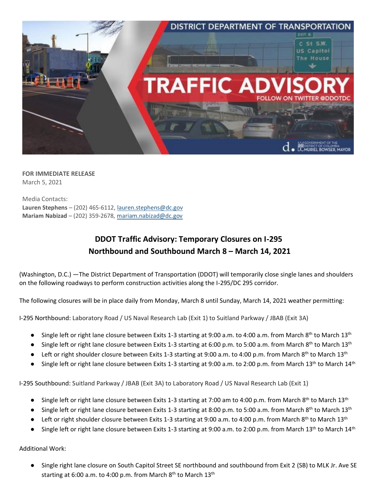

**FOR IMMEDIATE RELEASE** March 5, 2021

Media Contacts: **Lauren Stephens** – (202) 465-6112[, lauren.stephens@dc.gov](mailto:lauren.stephens@dc.gov) **Mariam Nabizad** – (202) 359-2678, [mariam.nabizad@dc.gov](mailto:mariam.nabizad@dc.gov)

## **DDOT Traffic Advisory: Temporary Closures on I-295 Northbound and Southbound March 8 – March 14, 2021**

(Washington, D.C.) —The District Department of Transportation (DDOT) will temporarily close single lanes and shoulders on the following roadways to perform construction activities along the I-295/DC 295 corridor.

The following closures will be in place daily from Monday, March 8 until Sunday, March 14, 2021 weather permitting:

I-295 Northbound: Laboratory Road / US Naval Research Lab (Exit 1) to Suitland Parkway / JBAB (Exit 3A)

- Single left or right lane closure between Exits 1-3 starting at 9:00 a.m. to 4:00 a.m. from March 8<sup>th</sup> to March 13<sup>th</sup>
- Single left or right lane closure between Exits 1-3 starting at 6:00 p.m. to 5:00 a.m. from March 8<sup>th</sup> to March 13<sup>th</sup>
- Left or right shoulder closure between Exits 1-3 starting at 9:00 a.m. to 4:00 p.m. from March 8<sup>th</sup> to March 13<sup>th</sup>
- Single left or right lane closure between Exits 1-3 starting at 9:00 a.m. to 2:00 p.m. from March 13<sup>th</sup> to March 14<sup>th</sup>

I-295 Southbound: Suitland Parkway / JBAB (Exit 3A) to Laboratory Road / US Naval Research Lab (Exit 1)

- Single left or right lane closure between Exits 1-3 starting at 7:00 am to 4:00 p.m. from March 8<sup>th</sup> to March 13<sup>th</sup>
- Single left or right lane closure between Exits 1-3 starting at 8:00 p.m. to 5:00 a.m. from March 8<sup>th</sup> to March 13<sup>th</sup>
- **•** Left or right shoulder closure between Exits 1-3 starting at 9:00 a.m. to 4:00 p.m. from March 8<sup>th</sup> to March 13<sup>th</sup>
- Single left or right lane closure between Exits 1-3 starting at 9:00 a.m. to 2:00 p.m. from March 13<sup>th</sup> to March 14<sup>th</sup>

Additional Work:

● Single right lane closure on South Capitol Street SE northbound and southbound from Exit 2 (SB) to MLK Jr. Ave SE starting at 6:00 a.m. to 4:00 p.m. from March 8<sup>th</sup> to March 13<sup>th</sup>